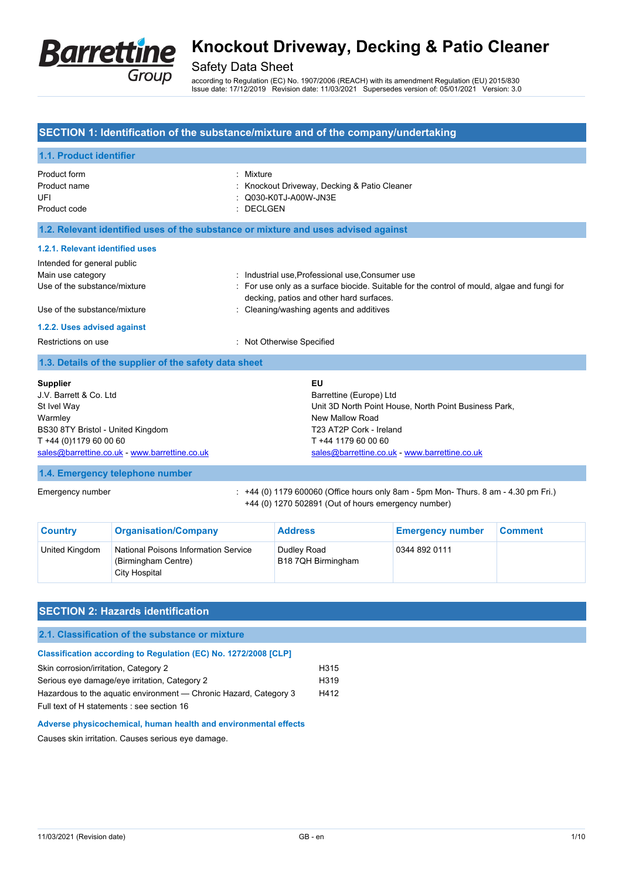

## Safety Data Sheet

according to Regulation (EC) No. 1907/2006 (REACH) with its amendment Regulation (EU) 2015/830 Issue date: 17/12/2019 Revision date: 11/03/2021 Supersedes version of: 05/01/2021 Version: 3.0

### **SECTION 1: Identification of the substance/mixture and of the company/undertaking**

### **1.1. Product identifier** Product form : Nixture : Nixture Product name **Product name** : Knockout Driveway, Decking & Patio Cleaner UFI : Q030-K0TJ-A00W-JN3E Product code : DECLGEN

**1.2. Relevant identified uses of the substance or mixture and uses advised against**

#### **1.2.1. Relevant identified uses**

| Intended for general public  |                                                                                                                                         |
|------------------------------|-----------------------------------------------------------------------------------------------------------------------------------------|
| Main use category            | : Industrial use, Professional use, Consumer use                                                                                        |
| Use of the substance/mixture | : For use only as a surface biocide. Suitable for the control of mould, algae and fungi for<br>decking, patios and other hard surfaces. |
| Use of the substance/mixture | : Cleaning/washing agents and additives                                                                                                 |
| 1.2.2. Uses advised against  |                                                                                                                                         |
| Restrictions on use          | : Not Otherwise Specified                                                                                                               |

#### **1.3. Details of the supplier of the safety data sheet**

| <b>Supplier</b>                               | EU                                                    |
|-----------------------------------------------|-------------------------------------------------------|
| J.V. Barrett & Co. Ltd.                       | Barrettine (Europe) Ltd                               |
| St Ivel Way                                   | Unit 3D North Point House, North Point Business Park, |
| Warmley                                       | New Mallow Road                                       |
| BS30 8TY Bristol - United Kingdom             | T23 AT2P Cork - Ireland                               |
| T +44 (0)1179 60 00 60                        | T +44 1179 60 00 60                                   |
| sales@barrettine.co.uk - www.barrettine.co.uk | sales@barrettine.co.uk - www.barrettine.co.uk         |

### **1.4. Emergency telephone number**

Emergency number : +44 (0) 1179 600060 (Office hours only 8am - 5pm Mon- Thurs. 8 am - 4.30 pm Fri.) +44 (0) 1270 502891 (Out of hours emergency number)

| <b>Country</b> | <b>Organisation/Company</b>                                                         | <b>Address</b>                    | <b>Emergency number</b> | <b>Comment</b> |
|----------------|-------------------------------------------------------------------------------------|-----------------------------------|-------------------------|----------------|
| United Kingdom | <b>National Poisons Information Service</b><br>(Birmingham Centre)<br>City Hospital | Dudley Road<br>B18 7QH Birmingham | 0344 892 0111           |                |

## **SECTION 2: Hazards identification**

## **2.1. Classification of the substance or mixture**

| <b>Classification according to Regulation (EC) No. 1272/2008 [CLP]</b> |                  |
|------------------------------------------------------------------------|------------------|
| Skin corrosion/irritation, Category 2                                  | H <sub>315</sub> |
| Serious eye damage/eye irritation, Category 2                          | H <sub>319</sub> |
| Hazardous to the aquatic environment — Chronic Hazard, Category 3      | H412             |
| Full text of H statements : see section 16                             |                  |

**Adverse physicochemical, human health and environmental effects**

Causes skin irritation. Causes serious eye damage.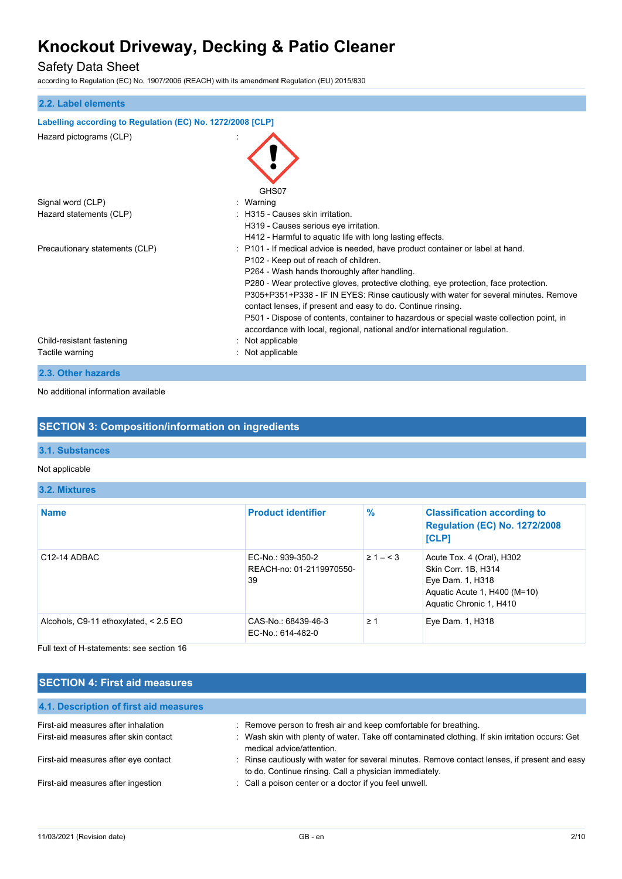## Safety Data Sheet

according to Regulation (EC) No. 1907/2006 (REACH) with its amendment Regulation (EU) 2015/830

| 2.2. Label elements                                         |                                                                                                                                                                                                                                                                                                                                                                                                                                                                                                                                                                                                                     |
|-------------------------------------------------------------|---------------------------------------------------------------------------------------------------------------------------------------------------------------------------------------------------------------------------------------------------------------------------------------------------------------------------------------------------------------------------------------------------------------------------------------------------------------------------------------------------------------------------------------------------------------------------------------------------------------------|
| Labelling according to Regulation (EC) No. 1272/2008 [CLP]  |                                                                                                                                                                                                                                                                                                                                                                                                                                                                                                                                                                                                                     |
| Hazard pictograms (CLP)                                     | GHS07                                                                                                                                                                                                                                                                                                                                                                                                                                                                                                                                                                                                               |
| Signal word (CLP)                                           | : Warning                                                                                                                                                                                                                                                                                                                                                                                                                                                                                                                                                                                                           |
| Hazard statements (CLP)                                     | : H315 - Causes skin irritation.<br>H319 - Causes serious eye irritation.<br>H412 - Harmful to aquatic life with long lasting effects.                                                                                                                                                                                                                                                                                                                                                                                                                                                                              |
| Precautionary statements (CLP)<br>Child-resistant fastening | : P101 - If medical advice is needed, have product container or label at hand.<br>P102 - Keep out of reach of children.<br>P264 - Wash hands thoroughly after handling.<br>P280 - Wear protective gloves, protective clothing, eye protection, face protection.<br>P305+P351+P338 - IF IN EYES: Rinse cautiously with water for several minutes. Remove<br>contact lenses, if present and easy to do. Continue rinsing.<br>P501 - Dispose of contents, container to hazardous or special waste collection point, in<br>accordance with local, regional, national and/or international regulation.<br>Not applicable |
| Tactile warning                                             | : Not applicable                                                                                                                                                                                                                                                                                                                                                                                                                                                                                                                                                                                                    |
| 2.3. Other hazards                                          |                                                                                                                                                                                                                                                                                                                                                                                                                                                                                                                                                                                                                     |

No additional information available

### **SECTION 3: Composition/information on ingredients**

### **3.1. Substances**

#### Not applicable

### **3.2. Mixtures**

| <b>Name</b>                             | <b>Product identifier</b>                           | $\frac{9}{6}$  | <b>Classification according to</b><br><b>Regulation (EC) No. 1272/2008</b><br>[CLP]                                             |
|-----------------------------------------|-----------------------------------------------------|----------------|---------------------------------------------------------------------------------------------------------------------------------|
| C <sub>12</sub> -14 ADBAC               | EC-No.: 939-350-2<br>REACH-no: 01-2119970550-<br>39 | $\geq 1 - < 3$ | Acute Tox. 4 (Oral), H302<br>Skin Corr. 1B, H314<br>Eye Dam. 1, H318<br>Aquatic Acute 1, H400 (M=10)<br>Aquatic Chronic 1, H410 |
| Alcohols, C9-11 ethoxylated, $< 2.5$ EO | CAS-No.: 68439-46-3<br>EC-No.: 614-482-0            | $\geq 1$       | Eye Dam. 1, H318                                                                                                                |

Full text of H-statements: see section 16

| <b>SECTION 4: First aid measures</b>   |                                                                                                                                                         |  |
|----------------------------------------|---------------------------------------------------------------------------------------------------------------------------------------------------------|--|
| 4.1. Description of first aid measures |                                                                                                                                                         |  |
| First-aid measures after inhalation    | : Remove person to fresh air and keep comfortable for breathing.                                                                                        |  |
| First-aid measures after skin contact  | : Wash skin with plenty of water. Take off contaminated clothing. If skin irritation occurs: Get<br>medical advice/attention.                           |  |
| First-aid measures after eye contact   | : Rinse cautiously with water for several minutes. Remove contact lenses, if present and easy<br>to do. Continue rinsing. Call a physician immediately. |  |
| First-aid measures after ingestion     | : Call a poison center or a doctor if you feel unwell.                                                                                                  |  |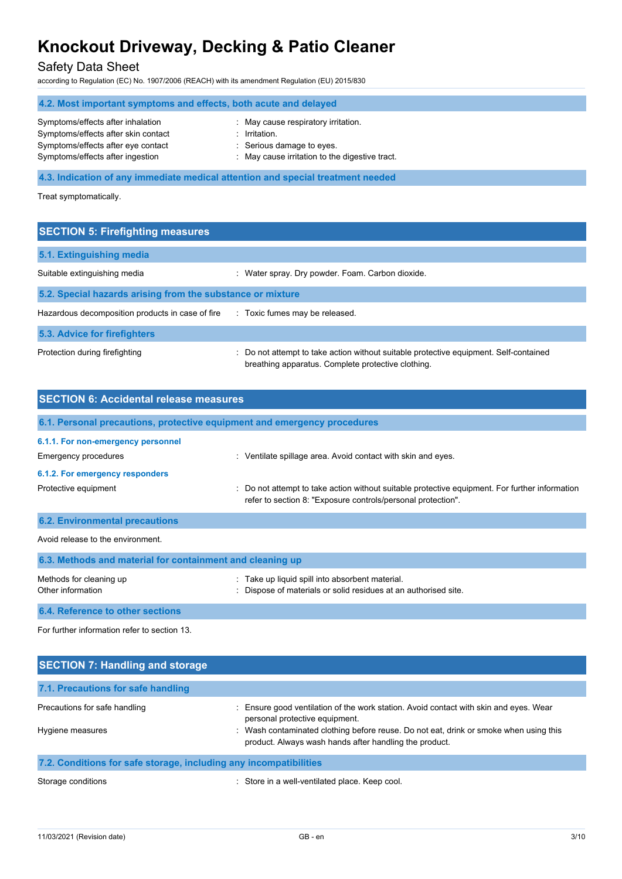## Safety Data Sheet

according to Regulation (EC) No. 1907/2006 (REACH) with its amendment Regulation (EU) 2015/830

| 4.2. Most important symptoms and effects, both acute and delayed                |                                                |  |
|---------------------------------------------------------------------------------|------------------------------------------------|--|
| Symptoms/effects after inhalation                                               | : May cause respiratory irritation.            |  |
| Symptoms/effects after skin contact                                             | Irritation.                                    |  |
| Symptoms/effects after eye contact                                              | : Serious damage to eyes.                      |  |
| Symptoms/effects after ingestion                                                | : May cause irritation to the digestive tract. |  |
|                                                                                 |                                                |  |
| 4.3. Indication of any immediate medical attention and special treatment needed |                                                |  |

Treat symptomatically.

## **SECTION 5: Firefighting measures**

| 5.1. Extinguishing media                                   |                                                                                                                                             |  |
|------------------------------------------------------------|---------------------------------------------------------------------------------------------------------------------------------------------|--|
| Suitable extinguishing media                               | Water spray. Dry powder. Foam. Carbon dioxide.<br>÷.                                                                                        |  |
| 5.2. Special hazards arising from the substance or mixture |                                                                                                                                             |  |
| Hazardous decomposition products in case of fire           | : Toxic fumes may be released.                                                                                                              |  |
| 5.3. Advice for firefighters                               |                                                                                                                                             |  |
| Protection during firefighting                             | : Do not attempt to take action without suitable protective equipment. Self-contained<br>breathing apparatus. Complete protective clothing. |  |

| <b>SECTION 6: Accidental release measures</b>                            |                                                                                                                                                                |  |
|--------------------------------------------------------------------------|----------------------------------------------------------------------------------------------------------------------------------------------------------------|--|
|                                                                          |                                                                                                                                                                |  |
| 6.1. Personal precautions, protective equipment and emergency procedures |                                                                                                                                                                |  |
| 6.1.1. For non-emergency personnel                                       |                                                                                                                                                                |  |
| Emergency procedures                                                     | : Ventilate spillage area. Avoid contact with skin and eyes.                                                                                                   |  |
| 6.1.2. For emergency responders                                          |                                                                                                                                                                |  |
| Protective equipment                                                     | : Do not attempt to take action without suitable protective equipment. For further information<br>refer to section 8: "Exposure controls/personal protection". |  |
| <b>6.2. Environmental precautions</b>                                    |                                                                                                                                                                |  |
| Avoid release to the environment.                                        |                                                                                                                                                                |  |
| 6.3. Methods and material for containment and cleaning up                |                                                                                                                                                                |  |
| Methods for cleaning up<br>Other information                             | Take up liquid spill into absorbent material.<br>Dispose of materials or solid residues at an authorised site.                                                 |  |
| 6.4. Reference to other sections                                         |                                                                                                                                                                |  |

For further information refer to section 13.

| <b>SECTION 7: Handling and storage</b>                            |                                                                                                                                               |
|-------------------------------------------------------------------|-----------------------------------------------------------------------------------------------------------------------------------------------|
| 7.1. Precautions for safe handling                                |                                                                                                                                               |
| Precautions for safe handling                                     | Ensure good ventilation of the work station. Avoid contact with skin and eyes. Wear<br>personal protective equipment.                         |
| Hygiene measures                                                  | Wash contaminated clothing before reuse. Do not eat, drink or smoke when using this<br>product. Always wash hands after handling the product. |
| 7.2. Conditions for safe storage, including any incompatibilities |                                                                                                                                               |

Storage conditions **Storage conditions** : Store in a well-ventilated place. Keep cool.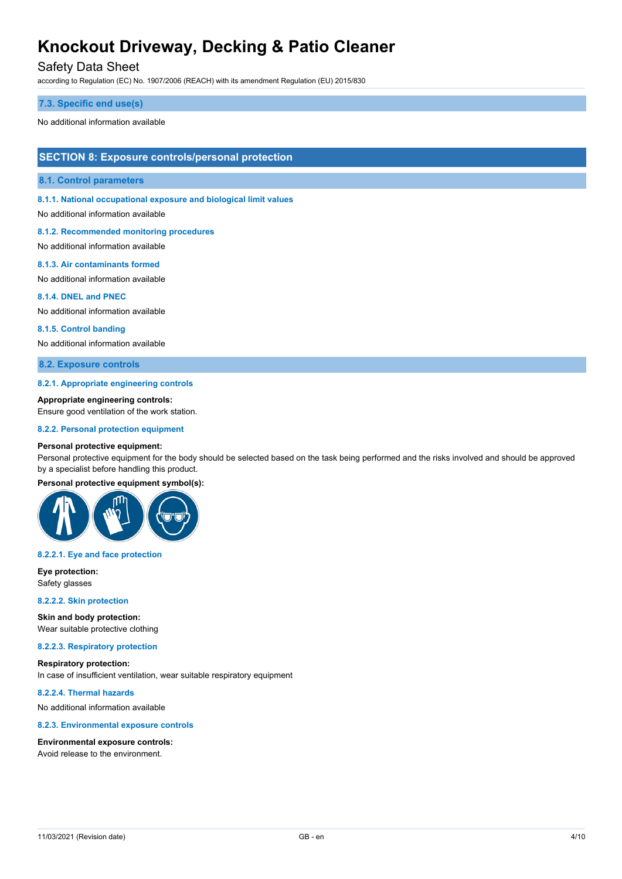### Safety Data Sheet

according to Regulation (EC) No. 1907/2006 (REACH) with its amendment Regulation (EU) 2015/830

#### **7.3. Specific end use(s)**

No additional information available

### **SECTION 8: Exposure controls/personal protection**

#### **8.1. Control parameters**

**8.1.1. National occupational exposure and biological limit values**

No additional information available

#### **8.1.2. Recommended monitoring procedures**

No additional information available

#### **8.1.3. Air contaminants formed**

No additional information available

#### **8.1.4. DNEL and PNEC**

No additional information available

#### **8.1.5. Control banding**

No additional information available

### **8.2. Exposure controls**

#### **8.2.1. Appropriate engineering controls**

**Appropriate engineering controls:**

Ensure good ventilation of the work station.

#### **8.2.2. Personal protection equipment**

#### **Personal protective equipment:**

Personal protective equipment for the body should be selected based on the task being performed and the risks involved and should be approved by a specialist before handling this product.

#### **Personal protective equipment symbol(s):**



#### **8.2.2.1. Eye and face protection**

**Eye protection:** Safety glasses

#### **8.2.2.2. Skin protection**

**Skin and body protection:** Wear suitable protective clothing

#### **8.2.2.3. Respiratory protection**

#### **Respiratory protection:** In case of insufficient ventilation, wear suitable respiratory equipment

**8.2.2.4. Thermal hazards**

No additional information available

#### **8.2.3. Environmental exposure controls**

#### **Environmental exposure controls:**

Avoid release to the environment.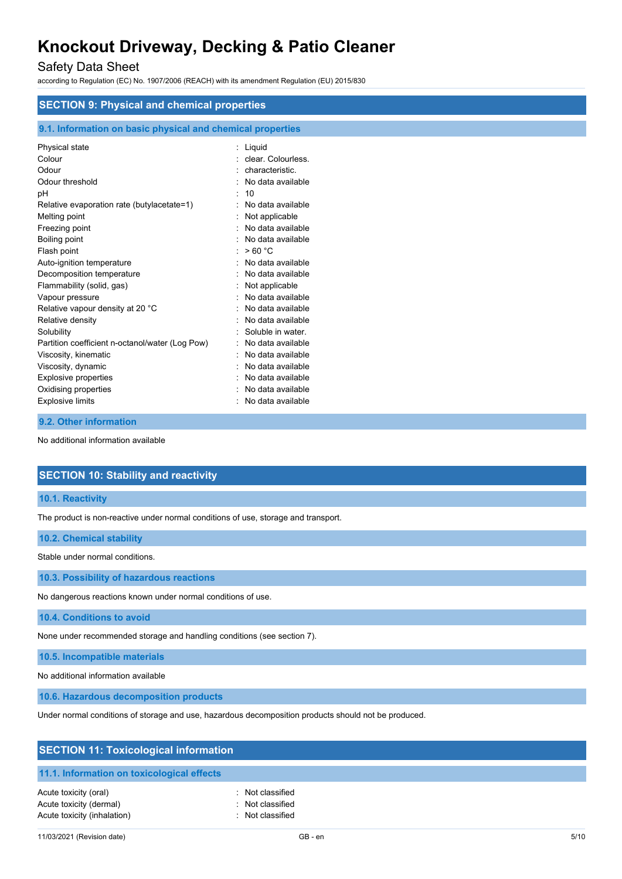## Safety Data Sheet

according to Regulation (EC) No. 1907/2006 (REACH) with its amendment Regulation (EU) 2015/830

| <b>SECTION 9: Physical and chemical properties</b>         |                    |  |
|------------------------------------------------------------|--------------------|--|
| 9.1. Information on basic physical and chemical properties |                    |  |
| Physical state                                             | : Liquid           |  |
| Colour                                                     | clear. Colourless. |  |
| Odour                                                      | characteristic.    |  |
| Odour threshold                                            | No data available  |  |
| pH                                                         | : 10               |  |
| Relative evaporation rate (butylacetate=1)                 | No data available  |  |
| Melting point                                              | Not applicable     |  |
| Freezing point                                             | No data available  |  |
| Boiling point                                              | No data available  |  |
| Flash point                                                | >60 °C             |  |
| Auto-ignition temperature                                  | No data available  |  |
| Decomposition temperature                                  | No data available  |  |
| Flammability (solid, gas)                                  | Not applicable     |  |
| Vapour pressure                                            | No data available  |  |
| Relative vapour density at 20 °C                           | No data available  |  |
| Relative density                                           | No data available  |  |
| Solubility                                                 | Soluble in water.  |  |
| Partition coefficient n-octanol/water (Log Pow)            | No data available  |  |
| Viscosity, kinematic                                       | No data available  |  |
| Viscosity, dynamic                                         | No data available  |  |
| <b>Explosive properties</b>                                | No data available  |  |
| Oxidising properties                                       | No data available  |  |
| <b>Explosive limits</b>                                    | No data available  |  |

#### **9.2. Other information**

No additional information available

### **SECTION 10: Stability and reactivity**

#### **10.1. Reactivity**

The product is non-reactive under normal conditions of use, storage and transport.

#### **10.2. Chemical stability**

Stable under normal conditions.

**10.3. Possibility of hazardous reactions**

No dangerous reactions known under normal conditions of use.

#### **10.4. Conditions to avoid**

None under recommended storage and handling conditions (see section 7).

**10.5. Incompatible materials**

No additional information available

**10.6. Hazardous decomposition products**

Under normal conditions of storage and use, hazardous decomposition products should not be produced.

| <b>SECTION 11: Toxicological information</b>                                    |                                                          |  |  |
|---------------------------------------------------------------------------------|----------------------------------------------------------|--|--|
| 11.1. Information on toxicological effects                                      |                                                          |  |  |
| Acute toxicity (oral)<br>Acute toxicity (dermal)<br>Acute toxicity (inhalation) | : Not classified<br>: Not classified<br>: Not classified |  |  |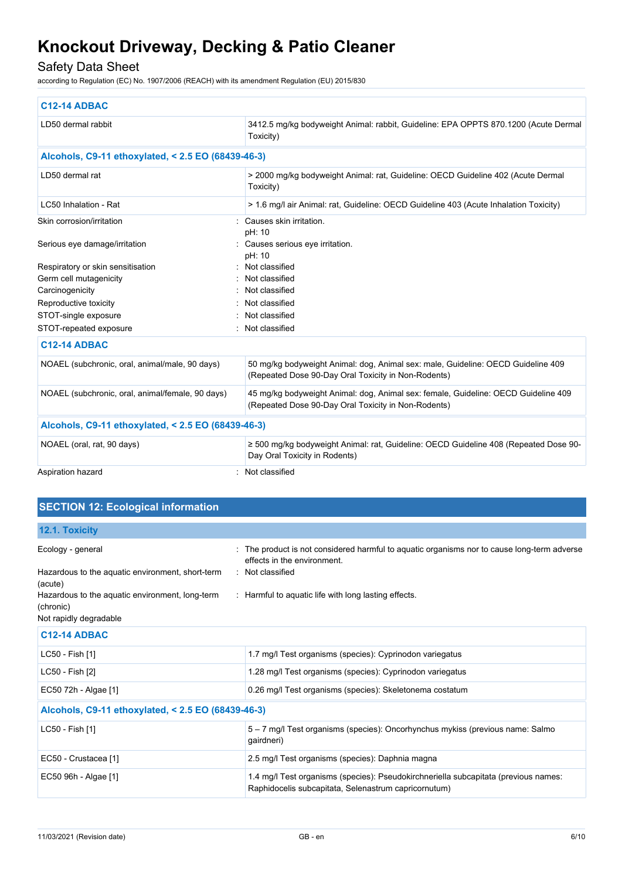## Safety Data Sheet

according to Regulation (EC) No. 1907/2006 (REACH) with its amendment Regulation (EU) 2015/830

| <b>C12-14 ADBAC</b>                                |                                                                                                                                           |  |
|----------------------------------------------------|-------------------------------------------------------------------------------------------------------------------------------------------|--|
| LD50 dermal rabbit                                 | 3412.5 mg/kg bodyweight Animal: rabbit, Guideline: EPA OPPTS 870.1200 (Acute Dermal<br>Toxicity)                                          |  |
| Alcohols, C9-11 ethoxylated, < 2.5 EO (68439-46-3) |                                                                                                                                           |  |
| LD50 dermal rat                                    | > 2000 mg/kg bodyweight Animal: rat, Guideline: OECD Guideline 402 (Acute Dermal<br>Toxicity)                                             |  |
| LC50 Inhalation - Rat                              | > 1.6 mg/l air Animal: rat, Guideline: OECD Guideline 403 (Acute Inhalation Toxicity)                                                     |  |
| Skin corrosion/irritation                          | Causes skin irritation.                                                                                                                   |  |
| Serious eye damage/irritation                      | pH: 10<br>: Causes serious eye irritation.<br>pH: 10                                                                                      |  |
| Respiratory or skin sensitisation                  | Not classified                                                                                                                            |  |
| Germ cell mutagenicity                             | : Not classified                                                                                                                          |  |
| Carcinogenicity                                    | Not classified                                                                                                                            |  |
| Reproductive toxicity                              | Not classified                                                                                                                            |  |
| STOT-single exposure                               | Not classified                                                                                                                            |  |
| STOT-repeated exposure                             | Not classified                                                                                                                            |  |
| <b>C12-14 ADBAC</b>                                |                                                                                                                                           |  |
| NOAEL (subchronic, oral, animal/male, 90 days)     | 50 mg/kg bodyweight Animal: dog, Animal sex: male, Guideline: OECD Guideline 409<br>(Repeated Dose 90-Day Oral Toxicity in Non-Rodents)   |  |
| NOAEL (subchronic, oral, animal/female, 90 days)   | 45 mg/kg bodyweight Animal: dog, Animal sex: female, Guideline: OECD Guideline 409<br>(Repeated Dose 90-Day Oral Toxicity in Non-Rodents) |  |
| Alcohols, C9-11 ethoxylated, < 2.5 EO (68439-46-3) |                                                                                                                                           |  |
| NOAEL (oral, rat, 90 days)                         | $\geq$ 500 mg/kg bodyweight Animal: rat, Guideline: OECD Guideline 408 (Repeated Dose 90-<br>Day Oral Toxicity in Rodents)                |  |
| Aspiration hazard                                  | Not classified                                                                                                                            |  |

## **SECTION 12: Ecological information**

| 12.1. Toxicity |  |  |
|----------------|--|--|
|                |  |  |
|                |  |  |

| Ecology - general<br>Hazardous to the aquatic environment, short-term<br>(acute)<br>Hazardous to the aquatic environment, long-term<br>(chronic)<br>Not rapidly degradable | The product is not considered harmful to aquatic organisms nor to cause long-term adverse<br>effects in the environment.<br>: Not classified<br>: Harmful to aquatic life with long lasting effects. |
|----------------------------------------------------------------------------------------------------------------------------------------------------------------------------|------------------------------------------------------------------------------------------------------------------------------------------------------------------------------------------------------|
| <b>C12-14 ADBAC</b>                                                                                                                                                        |                                                                                                                                                                                                      |
| LC50 - Fish [1]                                                                                                                                                            | 1.7 mg/l Test organisms (species): Cyprinodon variegatus                                                                                                                                             |
| LC50 - Fish [2]                                                                                                                                                            | 1.28 mg/l Test organisms (species): Cyprinodon variegatus                                                                                                                                            |
| EC50 72h - Algae [1]                                                                                                                                                       | 0.26 mg/l Test organisms (species): Skeletonema costatum                                                                                                                                             |
| Alcohols, C9-11 ethoxylated, < 2.5 EO (68439-46-3)                                                                                                                         |                                                                                                                                                                                                      |
| LC50 - Fish [1]                                                                                                                                                            | 5 – 7 mg/l Test organisms (species): Oncorhynchus mykiss (previous name: Salmo<br>gairdneri)                                                                                                         |
| EC50 - Crustacea [1]                                                                                                                                                       | 2.5 mg/l Test organisms (species): Daphnia magna                                                                                                                                                     |
| EC50 96h - Algae [1]                                                                                                                                                       | 1.4 mg/l Test organisms (species): Pseudokirchneriella subcapitata (previous names:<br>Raphidocelis subcapitata, Selenastrum capricornutum)                                                          |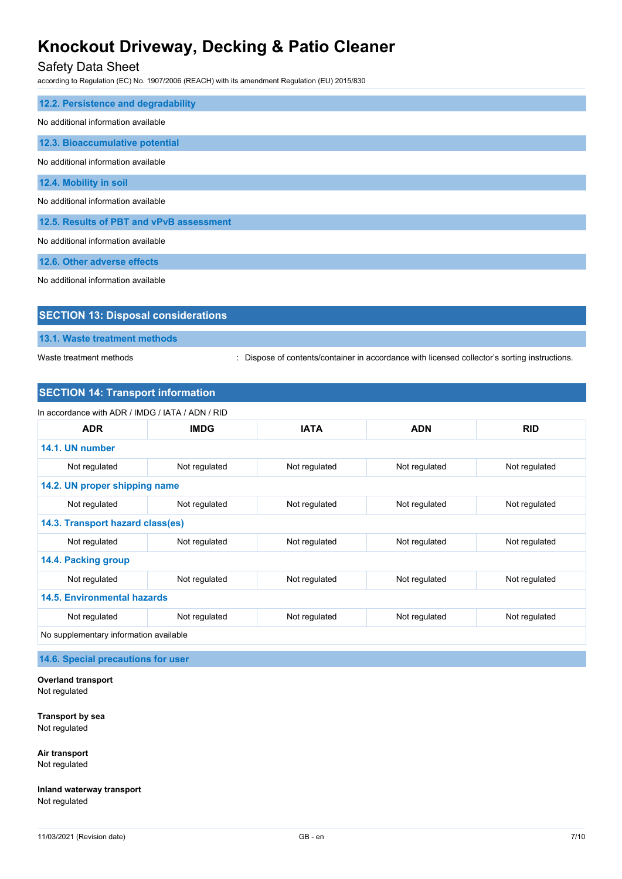## Safety Data Sheet

according to Regulation (EC) No. 1907/2006 (REACH) with its amendment Regulation (EU) 2015/830

| 12.2. Persistence and degradability      |  |  |
|------------------------------------------|--|--|
| No additional information available      |  |  |
| 12.3. Bioaccumulative potential          |  |  |
| No additional information available      |  |  |
| 12.4. Mobility in soil                   |  |  |
| No additional information available      |  |  |
| 12.5. Results of PBT and vPvB assessment |  |  |
| No additional information available      |  |  |
| 12.6. Other adverse effects              |  |  |

No additional information available

| <b>SECTION 13: Disposal considerations</b> |
|--------------------------------------------|
| 13.1. Waste treatment methods              |

Waste treatment methods : Dispose of contents/container in accordance with licensed collector's sorting instructions.

### **SECTION 14: Transport information**

| In accordance with ADR / IMDG / IATA / ADN / RID |               |               |               |               |
|--------------------------------------------------|---------------|---------------|---------------|---------------|
| <b>ADR</b>                                       | <b>IMDG</b>   | <b>IATA</b>   | <b>ADN</b>    | <b>RID</b>    |
| 14.1. UN number                                  |               |               |               |               |
| Not regulated                                    | Not regulated | Not regulated | Not regulated | Not regulated |
| 14.2. UN proper shipping name                    |               |               |               |               |
| Not regulated                                    | Not regulated | Not regulated | Not regulated | Not regulated |
| 14.3. Transport hazard class(es)                 |               |               |               |               |
| Not regulated                                    | Not regulated | Not regulated | Not regulated | Not regulated |
| 14.4. Packing group                              |               |               |               |               |
| Not regulated                                    | Not regulated | Not regulated | Not regulated | Not regulated |
| <b>14.5. Environmental hazards</b>               |               |               |               |               |
| Not regulated                                    | Not regulated | Not regulated | Not regulated | Not regulated |
| No supplementary information available           |               |               |               |               |

**14.6. Special precautions for user**

**Overland transport** Not regulated

**Transport by sea** Not regulated

**Air transport** Not regulated

**Inland waterway transport** Not regulated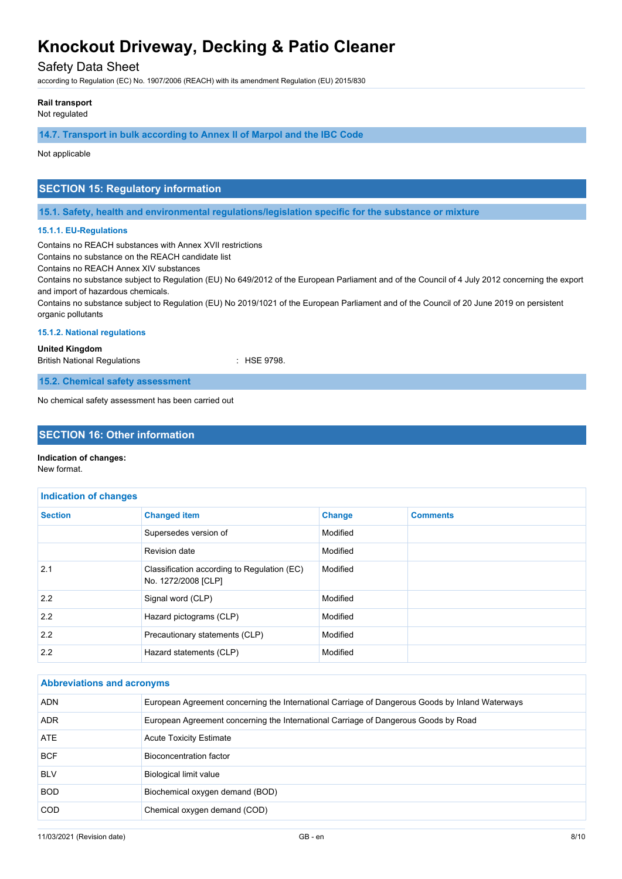## Safety Data Sheet

according to Regulation (EC) No. 1907/2006 (REACH) with its amendment Regulation (EU) 2015/830

#### **Rail transport**

Not regulated

**14.7. Transport in bulk according to Annex II of Marpol and the IBC Code**

Not applicable

## **SECTION 15: Regulatory information**

**15.1. Safety, health and environmental regulations/legislation specific for the substance or mixture**

#### **15.1.1. EU-Regulations**

Contains no REACH substances with Annex XVII restrictions

Contains no substance on the REACH candidate list

Contains no REACH Annex XIV substances

Contains no substance subject to Regulation (EU) No 649/2012 of the European Parliament and of the Council of 4 July 2012 concerning the export and import of hazardous chemicals.

Contains no substance subject to Regulation (EU) No 2019/1021 of the European Parliament and of the Council of 20 June 2019 on persistent organic pollutants

#### **15.1.2. National regulations**

**United Kingdom**

British National Regulations **in the State of State 1978**.

**15.2. Chemical safety assessment**

No chemical safety assessment has been carried out

## **SECTION 16: Other information**

#### **Indication of changes:**

New format.

| <b>Indication of changes</b> |                                                                    |               |                 |
|------------------------------|--------------------------------------------------------------------|---------------|-----------------|
| <b>Section</b>               | <b>Changed item</b>                                                | <b>Change</b> | <b>Comments</b> |
|                              | Supersedes version of                                              | Modified      |                 |
|                              | Revision date                                                      | Modified      |                 |
| 2.1                          | Classification according to Regulation (EC)<br>No. 1272/2008 [CLP] | Modified      |                 |
| 2.2                          | Signal word (CLP)                                                  | Modified      |                 |
| 2.2                          | Hazard pictograms (CLP)                                            | Modified      |                 |
| 2.2                          | Precautionary statements (CLP)                                     | Modified      |                 |
| 2.2                          | Hazard statements (CLP)                                            | Modified      |                 |

| <b>Abbreviations and acronyms</b> |                                                                                                 |  |
|-----------------------------------|-------------------------------------------------------------------------------------------------|--|
| <b>ADN</b>                        | European Agreement concerning the International Carriage of Dangerous Goods by Inland Waterways |  |
| ADR.                              | European Agreement concerning the International Carriage of Dangerous Goods by Road             |  |
| ATE                               | <b>Acute Toxicity Estimate</b>                                                                  |  |
| <b>BCF</b>                        | Bioconcentration factor                                                                         |  |
| <b>BLV</b>                        | <b>Biological limit value</b>                                                                   |  |
| <b>BOD</b>                        | Biochemical oxygen demand (BOD)                                                                 |  |
| <b>COD</b>                        | Chemical oxygen demand (COD)                                                                    |  |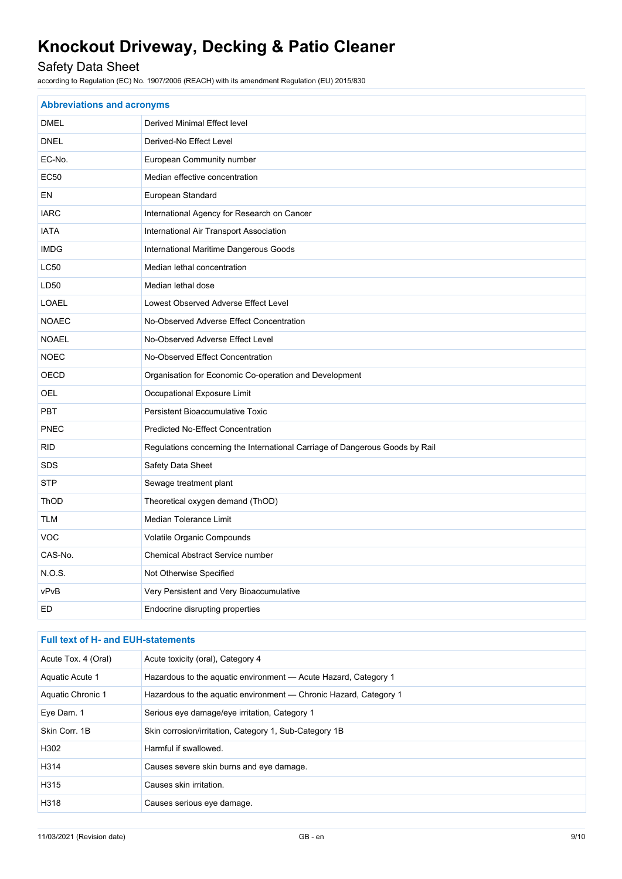## Safety Data Sheet

according to Regulation (EC) No. 1907/2006 (REACH) with its amendment Regulation (EU) 2015/830

| <b>Abbreviations and acronyms</b> |                                                                              |  |
|-----------------------------------|------------------------------------------------------------------------------|--|
| <b>DMEL</b>                       | <b>Derived Minimal Effect level</b>                                          |  |
| <b>DNEL</b>                       | Derived-No Effect Level                                                      |  |
| EC-No.                            | European Community number                                                    |  |
| <b>EC50</b>                       | Median effective concentration                                               |  |
| EN                                | European Standard                                                            |  |
| <b>IARC</b>                       | International Agency for Research on Cancer                                  |  |
| <b>IATA</b>                       | International Air Transport Association                                      |  |
| <b>IMDG</b>                       | International Maritime Dangerous Goods                                       |  |
| <b>LC50</b>                       | Median lethal concentration                                                  |  |
| LD <sub>50</sub>                  | Median lethal dose                                                           |  |
| <b>LOAEL</b>                      | Lowest Observed Adverse Effect Level                                         |  |
| <b>NOAEC</b>                      | No-Observed Adverse Effect Concentration                                     |  |
| <b>NOAEL</b>                      | No-Observed Adverse Effect Level                                             |  |
| <b>NOEC</b>                       | No-Observed Effect Concentration                                             |  |
| OECD                              | Organisation for Economic Co-operation and Development                       |  |
| OEL                               | Occupational Exposure Limit                                                  |  |
| <b>PBT</b>                        | <b>Persistent Bioaccumulative Toxic</b>                                      |  |
| <b>PNEC</b>                       | Predicted No-Effect Concentration                                            |  |
| <b>RID</b>                        | Regulations concerning the International Carriage of Dangerous Goods by Rail |  |
| <b>SDS</b>                        | Safety Data Sheet                                                            |  |
| <b>STP</b>                        | Sewage treatment plant                                                       |  |
| ThOD                              | Theoretical oxygen demand (ThOD)                                             |  |
| <b>TLM</b>                        | Median Tolerance Limit                                                       |  |
| <b>VOC</b>                        | Volatile Organic Compounds                                                   |  |
| CAS-No.                           | <b>Chemical Abstract Service number</b>                                      |  |
| NOS.                              | Not Otherwise Specified                                                      |  |
| vPvB                              | Very Persistent and Very Bioaccumulative                                     |  |
| <b>ED</b>                         | Endocrine disrupting properties                                              |  |

## **Full text of H- and EUH-statements** Acute Tox. 4 (Oral) Acute toxicity (oral), Category 4 Aquatic Acute 1 Hazardous to the aquatic environment - Acute Hazard, Category 1 Aquatic Chronic 1 Hazardous to the aquatic environment - Chronic Hazard, Category 1 Eye Dam. 1 Serious eye damage/eye irritation, Category 1 Skin Corr. 1B Skin corrosion/irritation, Category 1, Sub-Category 1B H302 Harmful if swallowed. H314 Causes severe skin burns and eye damage. H315 Causes skin irritation. H318 Causes serious eye damage.